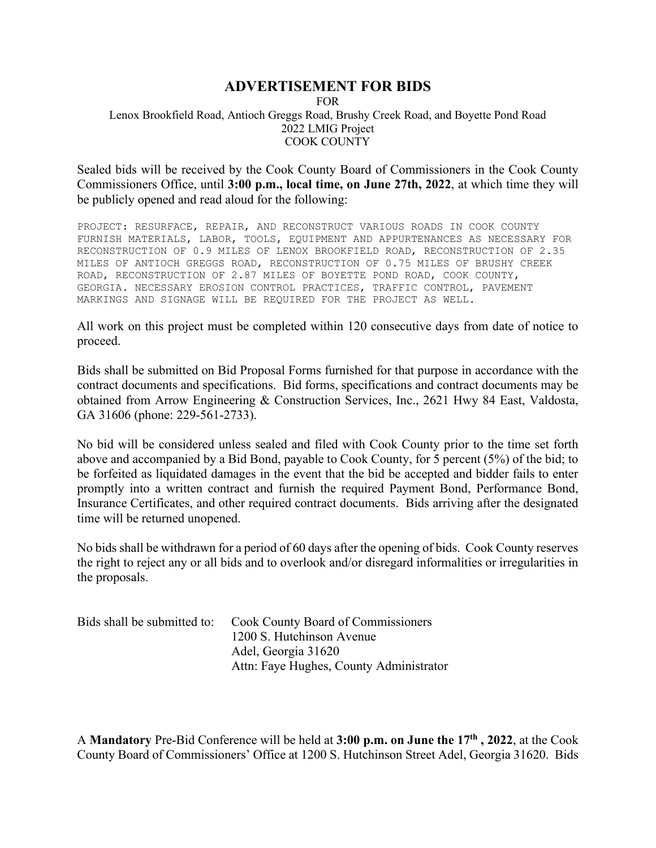## **ADVERTISEMENT FOR BIDS**

FOR Lenox Brookfield Road, Antioch Greggs Road, Brushy Creek Road, and Boyette Pond Road 2022 LMIG Project COOK COUNTY

Sealed bids will be received by the Cook County Board of Commissioners in the Cook County Commissioners Office, until **3:00 p.m., local time, on June 27th, 2022**, at which time they will be publicly opened and read aloud for the following:

PROJECT: RESURFACE, REPAIR, AND RECONSTRUCT VARIOUS ROADS IN COOK COUNTY FURNISH MATERIALS, LABOR, TOOLS, EQUIPMENT AND APPURTENANCES AS NECESSARY FOR RECONSTRUCTION OF 0.9 MILES OF LENOX BROOKFIELD ROAD, RECONSTRUCTION OF 2.35 MILES OF ANTIOCH GREGGS ROAD, RECONSTRUCTION OF 0.75 MILES OF BRUSHY CREEK ROAD, RECONSTRUCTION OF 2.87 MILES OF BOYETTE POND ROAD, COOK COUNTY, GEORGIA. NECESSARY EROSION CONTROL PRACTICES, TRAFFIC CONTROL, PAVEMENT MARKINGS AND SIGNAGE WILL BE REQUIRED FOR THE PROJECT AS WELL.

All work on this project must be completed within 120 consecutive days from date of notice to proceed.

Bids shall be submitted on Bid Proposal Forms furnished for that purpose in accordance with the contract documents and specifications. Bid forms, specifications and contract documents may be obtained from Arrow Engineering & Construction Services, Inc., 2621 Hwy 84 East, Valdosta, GA 31606 (phone: 229-561-2733).

No bid will be considered unless sealed and filed with Cook County prior to the time set forth above and accompanied by a Bid Bond, payable to Cook County, for 5 percent (5%) of the bid; to be forfeited as liquidated damages in the event that the bid be accepted and bidder fails to enter promptly into a written contract and furnish the required Payment Bond, Performance Bond, Insurance Certificates, and other required contract documents. Bids arriving after the designated time will be returned unopened.

No bids shall be withdrawn for a period of 60 days after the opening of bids. Cook County reserves the right to reject any or all bids and to overlook and/or disregard informalities or irregularities in the proposals.

| Bids shall be submitted to: | <b>Cook County Board of Commissioners</b> |
|-----------------------------|-------------------------------------------|
|                             | 1200 S. Hutchinson Avenue                 |
|                             | Adel, Georgia 31620                       |
|                             | Attn: Faye Hughes, County Administrator   |

A **Mandatory** Pre-Bid Conference will be held at **3:00 p.m. on June the 17th , 2022**, at the Cook County Board of Commissioners' Office at 1200 S. Hutchinson Street Adel, Georgia 31620. Bids